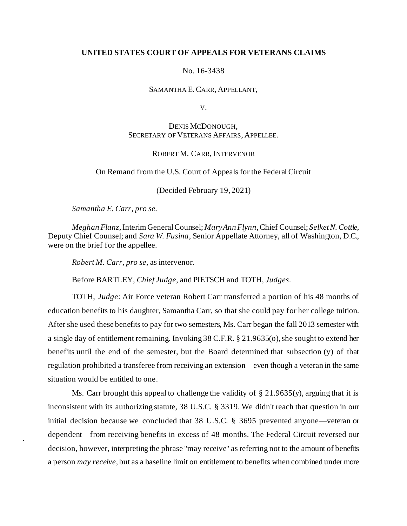### **UNITED STATES COURT OF APPEALS FOR VETERANS CLAIMS**

#### No. 16-3438

#### SAMANTHA E.CARR, APPELLANT,

V.

## DENIS MCDONOUGH, SECRETARY OF VETERANS AFFAIRS, APPELLEE.

#### ROBERT M. CARR, INTERVENOR

#### On Remand from the U.S. Court of Appeals for the Federal Circuit

(Decided February 19, 2021)

*Samantha E. Carr*, *pro se.*

*Meghan Flanz*,Interim General Counsel; *Mary Ann Flynn*, Chief Counsel; *Selket N. Cottle*, Deputy Chief Counsel; and *Sara W. Fusina*, Senior Appellate Attorney, all of Washington, D.C., were on the brief for the appellee.

*Robert M. Carr*, *pro se*, as intervenor.

Before BARTLEY, *Chief Judge*, and PIETSCH and TOTH, *Judges*.

TOTH, *Judge*: Air Force veteran Robert Carr transferred a portion of his 48 months of education benefits to his daughter, Samantha Carr, so that she could pay for her college tuition. After she used these benefits to pay for two semesters, Ms. Carr began the fall 2013 semester with a single day of entitlement remaining. Invoking 38 C.F.R. § 21.9635(o), she sought to extend her benefits until the end of the semester, but the Board determined that subsection (y) of that regulation prohibited a transferee from receiving an extension—even though a veteran in the same situation would be entitled to one.

Ms. Carr brought this appeal to challenge the validity of  $\S 21.9635(y)$ , arguing that it is inconsistent with its authorizing statute, 38 U.S.C. § 3319. We didn't reach that question in our initial decision because we concluded that 38 U.S.C. § 3695 prevented anyone—veteran or dependent—from receiving benefits in excess of 48 months. The Federal Circuit reversed our decision, however, interpreting the phrase "may receive" as referring not to the amount of benefits a person *may receive,* but as a baseline limit on entitlement to benefits when combined under more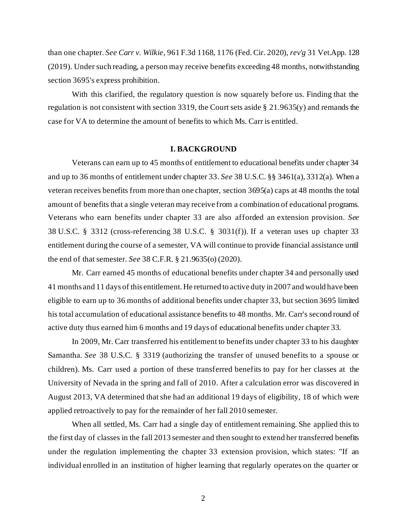than one chapter. *See Carr v. Wilkie*, 961 F.3d 1168, 1176 (Fed. Cir. 2020), *rev'g* 31 Vet.App. 128 (2019). Under such reading, a person may receive benefits exceeding 48 months, notwithstanding section 3695's express prohibition.

With this clarified, the regulatory question is now squarely before us. Finding that the regulation is not consistent with section 3319, the Court sets aside § 21.9635(y) and remands the case for VA to determine the amount of benefits to which Ms. Carr is entitled.

#### **I. BACKGROUND**

Veterans can earn up to 45 months of entitlement to educational benefits under chapter 34 and up to 36 months of entitlement under chapter 33. *See* 38 U.S.C. §§ 3461(a), 3312(a). When a veteran receives benefits from more than one chapter, section 3695(a) caps at 48 months the total amount of benefits that a single veteran may receive from a combination of educational programs. Veterans who earn benefits under chapter 33 are also afforded an extension provision. *See*  38 U.S.C. § 3312 (cross-referencing 38 U.S.C. § 3031(f)). If a veteran uses up chapter 33 entitlement during the course of a semester, VA will continue to provide financial assistance until the end of that semester. *See* 38 C.F.R. § 21.9635(o) (2020).

Mr. Carr earned 45 months of educational benefits under chapter 34 and personally used 41 months and 11 days of this entitlement. He returned to active duty in 2007 and would have been eligible to earn up to 36 months of additional benefits under chapter 33, but section 3695 limited his total accumulation of educational assistance benefits to 48 months. Mr. Carr's second round of active duty thus earned him 6 months and 19 days of educational benefits under chapter 33.

In 2009, Mr. Carr transferred his entitlement to benefits under chapter 33 to his daughter Samantha. *See* 38 U.S.C. § 3319 (authorizing the transfer of unused benefits to a spouse or children). Ms. Carr used a portion of these transferred benefits to pay for her classes at the University of Nevada in the spring and fall of 2010. After a calculation error was discovered in August 2013, VA determined that she had an additional 19 days of eligibility, 18 of which were applied retroactively to pay for the remainder of her fall 2010 semester.

When all settled, Ms. Carr had a single day of entitlement remaining. She applied this to the first day of classes in the fall 2013 semester and then sought to extend her transferred benefits under the regulation implementing the chapter 33 extension provision, which states: "If an individual enrolled in an institution of higher learning that regularly operates on the quarter or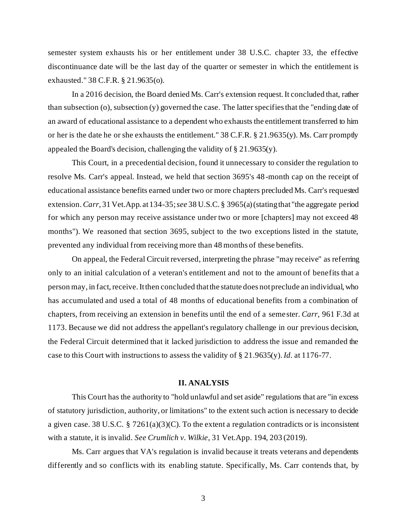semester system exhausts his or her entitlement under 38 U.S.C. chapter 33, the effective discontinuance date will be the last day of the quarter or semester in which the entitlement is exhausted." 38 C.F.R. § 21.9635(o).

In a 2016 decision, the Board denied Ms. Carr's extension request. It concluded that, rather than subsection (o), subsection (y) governed the case. The latter specifies that the "ending date of an award of educational assistance to a dependent who exhausts the entitlement transferred to him or her is the date he or she exhausts the entitlement." 38 C.F.R. § 21.9635(y). Ms. Carr promptly appealed the Board's decision, challenging the validity of § 21.9635(y).

This Court, in a precedential decision, found it unnecessary to consider the regulation to resolve Ms. Carr's appeal. Instead, we held that section 3695's 48-month cap on the receipt of educational assistance benefits earned under two or more chapters precluded Ms. Carr's requested extension. *Carr*, 31 Vet.App. at 134-35; *see* 38 U.S.C. § 3965(a) (stating that "the aggregate period for which any person may receive assistance under two or more [chapters] may not exceed 48 months"). We reasoned that section 3695, subject to the two exceptions listed in the statute, prevented any individual from receiving more than 48 months of these benefits.

On appeal, the Federal Circuit reversed, interpreting the phrase "may receive" as referring only to an initial calculation of a veteran's entitlement and not to the amount of benefits that a person may, in fact, receive. It then concluded that the statute does not preclude an individual, who has accumulated and used a total of 48 months of educational benefits from a combination of chapters, from receiving an extension in benefits until the end of a semester. *Carr*, 961 F.3d at 1173. Because we did not address the appellant's regulatory challenge in our previous decision, the Federal Circuit determined that it lacked jurisdiction to address the issue and remanded the case to this Court with instructions to assess the validity of § 21.9635(y). *Id.* at 1176-77.

#### **II. ANALYSIS**

This Court has the authority to "hold unlawful and set aside" regulations that are "in excess of statutory jurisdiction, authority, or limitations" to the extent such action is necessary to decide a given case. 38 U.S.C. § 7261(a)(3)(C). To the extent a regulation contradicts or is inconsistent with a statute, it is invalid. *See Crumlich v. Wilkie*, 31 Vet.App. 194, 203 (2019).

Ms. Carr argues that VA's regulation is invalid because it treats veterans and dependents differently and so conflicts with its enabling statute. Specifically, Ms. Carr contends that, by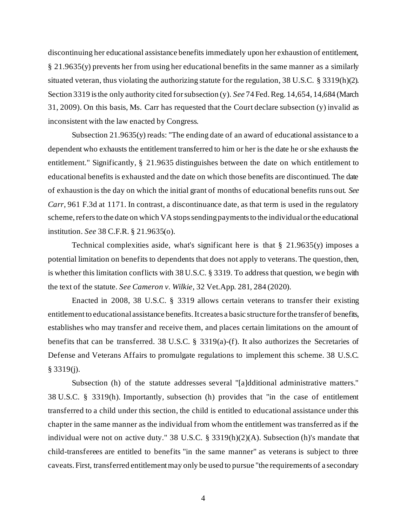discontinuing her educational assistance benefits immediately upon her exhaustion of entitlement, § 21.9635(y) prevents her from using her educational benefits in the same manner as a similarly situated veteran, thus violating the authorizing statute for the regulation, 38 U.S.C. § 3319(h)(2). Section 3319 is the only authority cited for subsection (y). *See* 74 Fed. Reg. 14,654, 14,684 (March 31, 2009). On this basis, Ms. Carr has requested that the Court declare subsection (y) invalid as inconsistent with the law enacted by Congress.

Subsection 21.9635(y) reads: "The ending date of an award of educational assistance to a dependent who exhausts the entitlement transferred to him or her is the date he or she exhausts the entitlement." Significantly, § 21.9635 distinguishes between the date on which entitlement to educational benefits is exhausted and the date on which those benefits are discontinued. The date of exhaustion is the day on which the initial grant of months of educational benefits runs out. *See Carr*, 961 F.3d at 1171. In contrast, a discontinuance date, as that term is used in the regulatory scheme, refers to the date on which VA stops sending payments to the individual or the educational institution. *See* 38 C.F.R. § 21.9635(o).

Technical complexities aside, what's significant here is that  $\S$  21.9635(y) imposes a potential limitation on benefits to dependents that does not apply to veterans. The question, then, is whether this limitation conflicts with 38 U.S.C. § 3319. To address that question, we begin with the text of the statute. *See Cameron v. Wilkie*, 32 Vet.App. 281, 284 (2020).

Enacted in 2008, 38 U.S.C. § 3319 allows certain veterans to transfer their existing entitlement to educational assistance benefits. It creates a basic structure for the transfer of benefits, establishes who may transfer and receive them, and places certain limitations on the amount of benefits that can be transferred. 38 U.S.C. § 3319(a)-(f). It also authorizes the Secretaries of Defense and Veterans Affairs to promulgate regulations to implement this scheme. 38 U.S.C. § 3319(j).

Subsection (h) of the statute addresses several "[a]dditional administrative matters." 38 U.S.C. § 3319(h). Importantly, subsection (h) provides that "in the case of entitlement transferred to a child under this section, the child is entitled to educational assistance under this chapter in the same manner as the individual from whom the entitlement was transferred as if the individual were not on active duty." 38 U.S.C. § 3319(h)(2)(A). Subsection (h)'s mandate that child-transferees are entitled to benefits "in the same manner" as veterans is subject to three caveats. First, transferred entitlement may only be used to pursue "the requirements of a secondary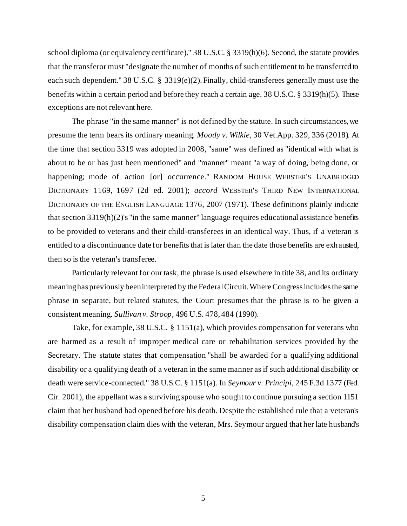school diploma (or equivalency certificate)." 38 U.S.C. § 3319(h)(6). Second, the statute provides that the transferor must "designate the number of months of such entitlement to be transferred to each such dependent." 38 U.S.C. § 3319(e)(2). Finally, child-transferees generally must use the benefits within a certain period and before they reach a certain age. 38 U.S.C. § 3319(h)(5). These exceptions are not relevant here.

The phrase "in the same manner" is not defined by the statute. In such circumstances, we presume the term bears its ordinary meaning. *Moody v. Wilkie*, 30 Vet.App. 329, 336 (2018). At the time that section 3319 was adopted in 2008, "same" was defined as "identical with what is about to be or has just been mentioned" and "manner" meant "a way of doing, being done, or happening; mode of action [or] occurrence." RANDOM HOUSE WEBSTER'S UNABRIDGED DICTIONARY 1169, 1697 (2d ed. 2001); *accord* WEBSTER'S THIRD NEW INTERNATIONAL DICTIONARY OF THE ENGLISH LANGUAGE 1376, 2007 (1971). These definitions plainly indicate that section 3319(h)(2)'s "in the same manner" language requires educational assistance benefits to be provided to veterans and their child-transferees in an identical way. Thus, if a veteran is entitled to a discontinuance date for benefits that is later than the date those benefits are exhausted, then so is the veteran's transferee.

Particularly relevant for our task, the phrase is used elsewhere in title 38, and its ordinary meaning has previously been interpreted by the Federal Circuit. Where Congress includes the same phrase in separate, but related statutes, the Court presumes that the phrase is to be given a consistent meaning. *Sullivan v. Stroop*, 496 U.S. 478, 484 (1990).

Take, for example, 38 U.S.C. § 1151(a), which provides compensation for veterans who are harmed as a result of improper medical care or rehabilitation services provided by the Secretary. The statute states that compensation "shall be awarded for a qualifying additional disability or a qualifying death of a veteran in the same manner as if such additional disability or death were service-connected." 38 U.S.C. § 1151(a)*.* In *Seymour v. Principi*, 245 F*.*3d 1377 (Fed. Cir. 2001), the appellant was a surviving spouse who sought to continue pursuing a section 1151 claim that her husband had opened before his death. Despite the established rule that a veteran's disability compensation claim dies with the veteran, Mrs. Seymour argued that her late husband's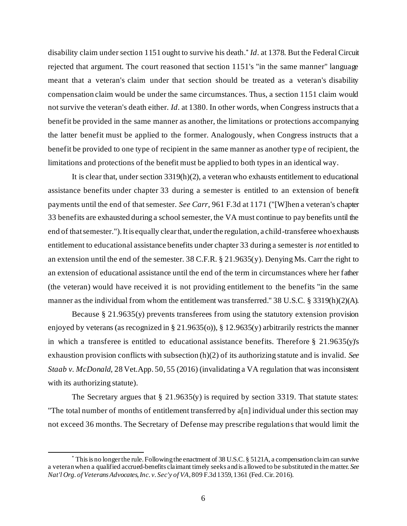disability claim under section 1151 ought to survive his death.\* *Id*. at 1378. But the Federal Circuit rejected that argument. The court reasoned that section 1151's "in the same manner" language meant that a veteran's claim under that section should be treated as a veteran's disability compensation claim would be under the same circumstances. Thus, a section 1151 claim would not survive the veteran's death either. *Id*. at 1380. In other words, when Congress instructs that a benefit be provided in the same manner as another, the limitations or protections accompanying the latter benefit must be applied to the former. Analogously, when Congress instructs that a benefit be provided to one type of recipient in the same manner as another type of recipient, the limitations and protections of the benefit must be applied to both types in an identical way.

It is clear that, under section  $3319(h)(2)$ , a veteran who exhausts entitlement to educational assistance benefits under chapter 33 during a semester is entitled to an extension of benefit payments until the end of that semester. *See Carr*, 961 F.3d at 1171 ("[W]hen a veteran's chapter 33 benefits are exhausted during a school semester, the VA must continue to pay benefits until the end of that semester."). It is equally clear that, under the regulation, a child-transferee who exhausts entitlement to educational assistance benefits under chapter 33 during a semester is *not* entitled to an extension until the end of the semester. 38 C.F.R. § 21.9635(y). Denying Ms. Carr the right to an extension of educational assistance until the end of the term in circumstances where her father (the veteran) would have received it is not providing entitlement to the benefits "in the same manner as the individual from whom the entitlement was transferred." 38 U.S.C. § 3319(h)(2)(A).

Because § 21.9635(y) prevents transferees from using the statutory extension provision enjoyed by veterans (as recognized in § 21.9635(o)), § 12.9635(y) arbitrarily restricts the manner in which a transferee is entitled to educational assistance benefits. Therefore § 21.9635(y)'s exhaustion provision conflicts with subsection (h)(2) of its authorizing statute and is invalid. *See Staab v. McDonald*, 28 Vet.App. 50, 55 (2016) (invalidating a VA regulation that was inconsistent with its authorizing statute).

The Secretary argues that  $\S 21.9635(y)$  is required by section 3319. That statute states: "The total number of months of entitlement transferred by a[n] individual under this section may not exceed 36 months. The Secretary of Defense may prescribe regulations that would limit the

<sup>\*</sup> This is no longer the rule. Following the enactment of 38 U.S.C. § 5121A, a compensation claim can survive a veteran when a qualified accrued-benefits claimant timely seeks and is allowed to be substituted in the matter. *See Nat'l Org. of Veterans Advocates, Inc. v. Sec'y of VA*, 809 F.3d 1359, 1361 (Fed. Cir. 2016).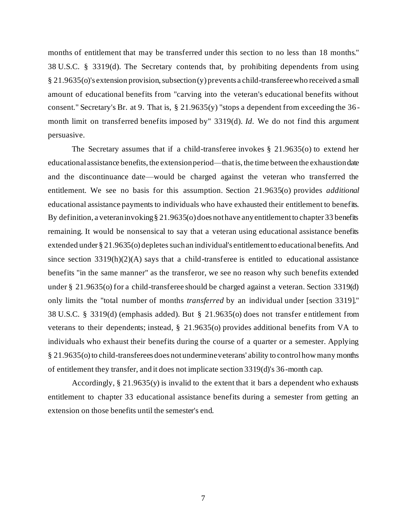months of entitlement that may be transferred under this section to no less than 18 months." 38 U.S.C. § 3319(d). The Secretary contends that, by prohibiting dependents from using § 21.9635(o)'s extension provision, subsection (y) prevents a child-transferee who received a small amount of educational benefits from "carving into the veteran's educational benefits without consent." Secretary's Br. at 9. That is, § 21.9635(y) "stops a dependent from exceeding the 36 month limit on transferred benefits imposed by" 3319(d). *Id.* We do not find this argument persuasive.

The Secretary assumes that if a child-transferee invokes  $\S$  21.9635(o) to extend her educational assistance benefits, the extension period—that is, the time between the exhaustion date and the discontinuance date—would be charged against the veteran who transferred the entitlement. We see no basis for this assumption. Section 21.9635(o) provides *additional* educational assistance payments to individuals who have exhausted their entitlement to benefits. By definition, a veteran invoking § 21.9635(o) does not have any entitlement to chapter 33 benefits remaining. It would be nonsensical to say that a veteran using educational assistance benefits extended under § 21.9635(o) depletes such an individual's entitlement to educational benefits. And since section  $3319(h)(2)(A)$  says that a child-transferee is entitled to educational assistance benefits "in the same manner" as the transferor, we see no reason why such benefits extended under § 21.9635(o) for a child-transferee should be charged against a veteran. Section 3319(d) only limits the "total number of months *transferred* by an individual under [section 3319]." 38 U.S.C. § 3319(d) (emphasis added). But § 21.9635(o) does not transfer entitlement from veterans to their dependents; instead, § 21.9635(o) provides additional benefits from VA to individuals who exhaust their benefits during the course of a quarter or a semester. Applying § 21.9635(o) to child-transferees does not undermine veterans' ability to control how many months of entitlement they transfer, and it does not implicate section 3319(d)'s 36-month cap.

Accordingly, § 21.9635(y) is invalid to the extent that it bars a dependent who exhausts entitlement to chapter 33 educational assistance benefits during a semester from getting an extension on those benefits until the semester's end.